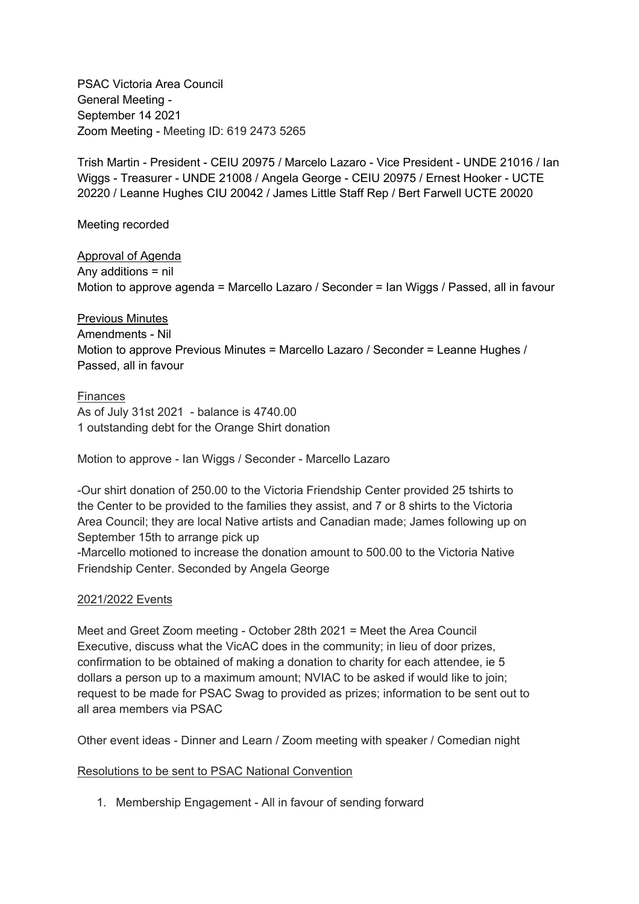PSAC Victoria Area Council General Meeting - September 14 2021 Zoom Meeting - Meeting ID: 619 2473 5265

Trish Martin - President - CEIU 20975 / Marcelo Lazaro - Vice President - UNDE 21016 / Ian Wiggs - Treasurer - UNDE 21008 / Angela George - CEIU 20975 / Ernest Hooker - UCTE 20220 / Leanne Hughes CIU 20042 / James Little Staff Rep / Bert Farwell UCTE 20020

Meeting recorded

Approval of Agenda Any additions = nil Motion to approve agenda = Marcello Lazaro / Seconder = Ian Wiggs / Passed, all in favour

Previous Minutes Amendments - Nil Motion to approve Previous Minutes = Marcello Lazaro / Seconder = Leanne Hughes / Passed, all in favour

Finances As of July 31st 2021 - balance is 4740.00 1 outstanding debt for the Orange Shirt donation

Motion to approve - Ian Wiggs / Seconder - Marcello Lazaro

-Our shirt donation of 250.00 to the Victoria Friendship Center provided 25 tshirts to the Center to be provided to the families they assist, and 7 or 8 shirts to the Victoria Area Council; they are local Native artists and Canadian made; James following up on September 15th to arrange pick up

-Marcello motioned to increase the donation amount to 500.00 to the Victoria Native Friendship Center. Seconded by Angela George

## 2021/2022 Events

Meet and Greet Zoom meeting - October 28th 2021 = Meet the Area Council Executive, discuss what the VicAC does in the community; in lieu of door prizes, confirmation to be obtained of making a donation to charity for each attendee, ie 5 dollars a person up to a maximum amount; NVIAC to be asked if would like to join; request to be made for PSAC Swag to provided as prizes; information to be sent out to all area members via PSAC

Other event ideas - Dinner and Learn / Zoom meeting with speaker / Comedian night

Resolutions to be sent to PSAC National Convention

1. Membership Engagement - All in favour of sending forward